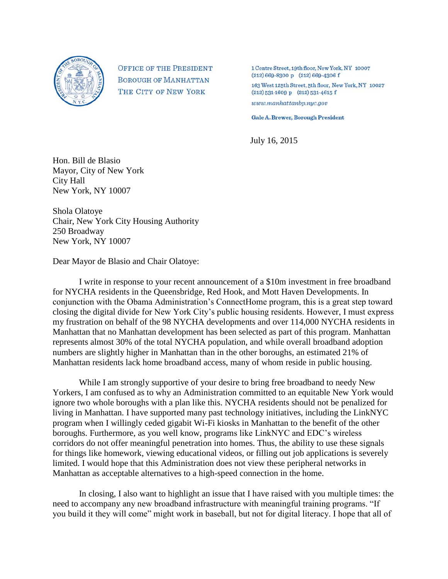

**OFFICE OF THE PRESIDENT BOROUGH OF MANHATTAN** THE CITY OF NEW YORK

1 Centre Street, 19th floor, New York, NY 10007  $(212) 669 - 8300 p$   $(212) 669 - 4306 f$ 

163 West 125th Street, 5th floor, New York, NY 10027  $(212)$  531-1609 p  $(212)$  531-4615 f  $www.mankattanbp.nyc.gov$ 

**Gale A. Brewer, Borough President** 

July 16, 2015

Hon. Bill de Blasio Mayor, City of New York City Hall New York, NY 10007

Shola Olatoye Chair, New York City Housing Authority 250 Broadway New York, NY 10007

Dear Mayor de Blasio and Chair Olatoye:

I write in response to your recent announcement of a \$10m investment in free broadband for NYCHA residents in the Queensbridge, Red Hook, and Mott Haven Developments. In conjunction with the Obama Administration's ConnectHome program, this is a great step toward closing the digital divide for New York City's public housing residents. However, I must express my frustration on behalf of the 98 NYCHA developments and over 114,000 NYCHA residents in Manhattan that no Manhattan development has been selected as part of this program. Manhattan represents almost 30% of the total NYCHA population, and while overall broadband adoption numbers are slightly higher in Manhattan than in the other boroughs, an estimated 21% of Manhattan residents lack home broadband access, many of whom reside in public housing.

While I am strongly supportive of your desire to bring free broadband to needy New Yorkers, I am confused as to why an Administration committed to an equitable New York would ignore two whole boroughs with a plan like this. NYCHA residents should not be penalized for living in Manhattan. I have supported many past technology initiatives, including the LinkNYC program when I willingly ceded gigabit Wi-Fi kiosks in Manhattan to the benefit of the other boroughs. Furthermore, as you well know, programs like LinkNYC and EDC's wireless corridors do not offer meaningful penetration into homes. Thus, the ability to use these signals for things like homework, viewing educational videos, or filling out job applications is severely limited. I would hope that this Administration does not view these peripheral networks in Manhattan as acceptable alternatives to a high-speed connection in the home.

In closing, I also want to highlight an issue that I have raised with you multiple times: the need to accompany any new broadband infrastructure with meaningful training programs. "If you build it they will come" might work in baseball, but not for digital literacy. I hope that all of